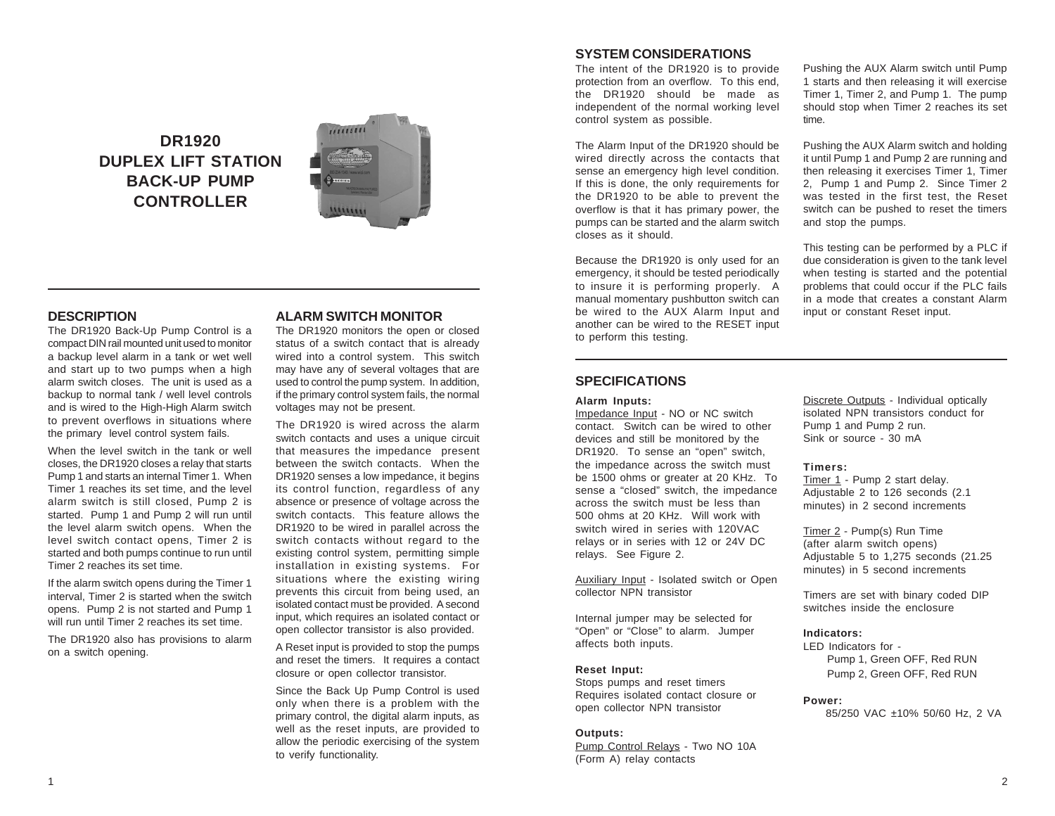**DR1920 DUPLEX LIFT STATION BACK-UP PUMP CONTROLLER**



## **DESCRIPTION**

The DR1920 Back-Up Pump Control is a compact DIN rail mounted unit used to monitor a backup level alarm in a tank or wet well and start up to two pumps when a high alarm switch closes. The unit is used as a backup to normal tank / well level controls and is wired to the High-High Alarm switch to prevent overflows in situations where the primary level control system fails.

When the level switch in the tank or well closes, the DR1920 closes a relay that starts Pump 1 and starts an internal Timer 1. When Timer 1 reaches its set time, and the level alarm switch is still closed, Pump 2 is started. Pump 1 and Pump 2 will run until the level alarm switch opens. When the level switch contact opens, Timer 2 is started and both pumps continue to run until Timer 2 reaches its set time.

If the alarm switch opens during the Timer 1 interval, Timer 2 is started when the switch opens. Pump 2 is not started and Pump 1 will run until Timer 2 reaches its set time.

The DR1920 also has provisions to alarm on a switch opening.

## **ALARM SWITCH MONITOR**

The DR1920 monitors the open or closed status of a switch contact that is already wired into a control system. This switch may have any of several voltages that are used to control the pump system. In addition, if the primary control system fails, the normal voltages may not be present.

The DR1920 is wired across the alarm switch contacts and uses a unique circuit that measures the impedance present between the switch contacts. When the DR1920 senses a low impedance, it begins its control function, regardless of any absence or presence of voltage across the switch contacts. This feature allows the DR1920 to be wired in parallel across the switch contacts without regard to the existing control system, permitting simple installation in existing systems. For situations where the existing wiring prevents this circuit from being used, an isolated contact must be provided. A second input, which requires an isolated contact or open collector transistor is also provided.

A Reset input is provided to stop the pumps and reset the timers. It requires a contact closure or open collector transistor.

Since the Back Up Pump Control is used only when there is a problem with the primary control, the digital alarm inputs, as well as the reset inputs, are provided to allow the periodic exercising of the system to verify functionality.

# **SYSTEM CONSIDERATIONS**

The intent of the DR1920 is to provide protection from an overflow. To this end, the DR1920 should be made as independent of the normal working level control system as possible.

The Alarm Input of the DR1920 should be wired directly across the contacts that sense an emergency high level condition. If this is done, the only requirements for the DR1920 to be able to prevent the overflow is that it has primary power, the pumps can be started and the alarm switch closes as it should.

Because the DR1920 is only used for an emergency, it should be tested periodically to insure it is performing properly. A manual momentary pushbutton switch can be wired to the AUX Alarm Input and another can be wired to the RESET input to perform this testing.

Pushing the AUX Alarm switch until Pump 1 starts and then releasing it will exercise Timer 1, Timer 2, and Pump 1. The pump should stop when Timer 2 reaches its set time.

Pushing the AUX Alarm switch and holding it until Pump 1 and Pump 2 are running and then releasing it exercises Timer 1, Timer 2, Pump 1 and Pump 2. Since Timer 2 was tested in the first test, the Reset switch can be pushed to reset the timers and stop the pumps.

This testing can be performed by a PLC if due consideration is given to the tank level when testing is started and the potential problems that could occur if the PLC fails in a mode that creates a constant Alarm input or constant Reset input.

## **SPECIFICATIONS**

#### **Alarm Inputs:**

Impedance Input - NO or NC switch contact. Switch can be wired to other devices and still be monitored by the DR1920. To sense an "open" switch, the impedance across the switch must be 1500 ohms or greater at 20 KHz. To sense a "closed" switch, the impedance across the switch must be less than 500 ohms at 20 KHz. Will work with switch wired in series with 120VAC relays or in series with 12 or 24V DC relays. See Figure 2.

Auxiliary Input - Isolated switch or Open collector NPN transistor

Internal jumper may be selected for "Open" or "Close" to alarm. Jumper affects both inputs.

### **Reset Input:**

Stops pumps and reset timers Requires isolated contact closure or open collector NPN transistor

### **Outputs:**

Pump Control Relays - Two NO 10A (Form A) relay contacts

Discrete Outputs - Individual optically isolated NPN transistors conduct for Pump 1 and Pump 2 run. Sink or source - 30 mA

#### **Timers:**

Timer 1 - Pump 2 start delay. Adjustable 2 to 126 seconds (2.1 minutes) in 2 second increments

Timer 2 - Pump(s) Run Time (after alarm switch opens) Adjustable 5 to 1,275 seconds (21.25 minutes) in 5 second increments

Timers are set with binary coded DIP switches inside the enclosure

### **Indicators:**

LED Indicators for - Pump 1, Green OFF, Red RUN Pump 2, Green OFF, Red RUN

#### **Power:**

85/250 VAC ±10% 50/60 Hz, 2 VA